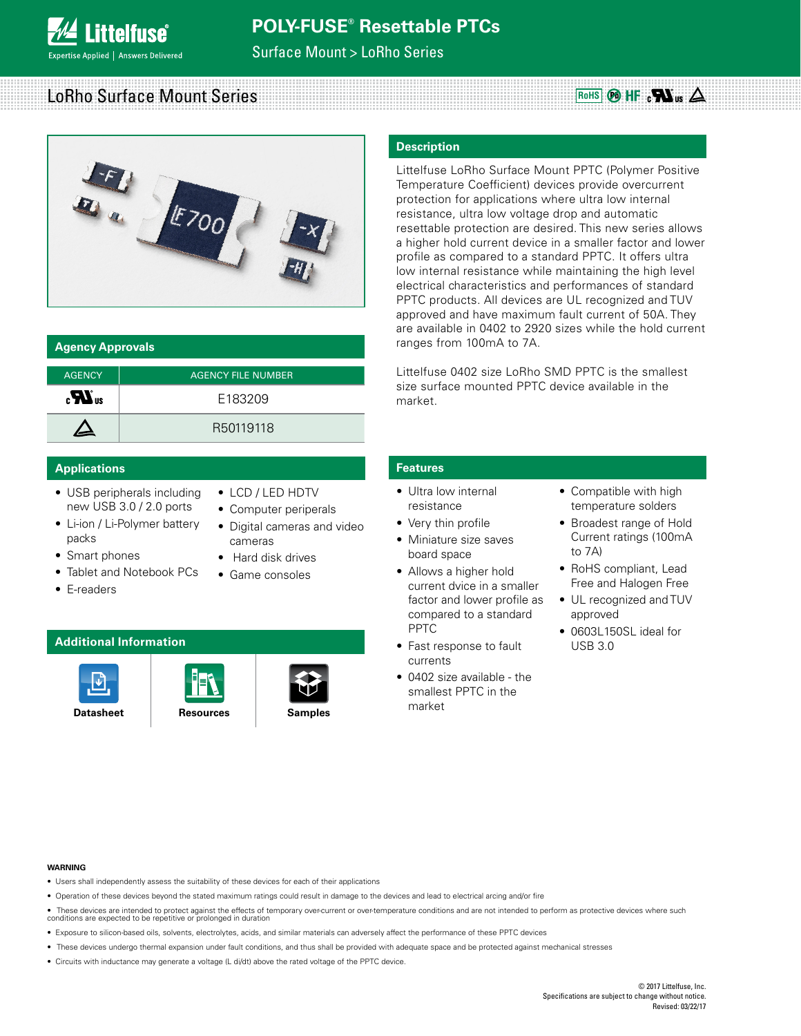**ittelfuse** pertise Applied | Answers Delivered

## Surface Mount > LoRho Series

# LoRho Surface Mount Series **Accord Accord Contract Contract Contract Contract Contract Contract Contract Control**



| <b>Agency Approvals</b> |                           |  |  |  |  |  |  |  |  |
|-------------------------|---------------------------|--|--|--|--|--|--|--|--|
| <b>AGENCY</b>           | <b>AGENCY FILE NUMBER</b> |  |  |  |  |  |  |  |  |
| $_{\rm c}H_{\rm us}$    | F183209                   |  |  |  |  |  |  |  |  |
|                         | R50119118                 |  |  |  |  |  |  |  |  |

### **Applications Features**

- USB peripherals including new USB 3.0 / 2.0 ports
- Li-ion / Li-Polymer battery packs
- Smart phones
- Tablet and Notebook PCs
- E-readers
- LCD / LED HDTV
- Computer periperals
- 
- Digital cameras and video cameras
- Hard disk drives
- Game consoles

### **Additional Information**







### **Description**

Littelfuse LoRho Surface Mount PPTC (Polymer Positive Temperature Coefficient) devices provide overcurrent protection for applications where ultra low internal resistance, ultra low voltage drop and automatic resettable protection are desired. This new series allows a higher hold current device in a smaller factor and lower profile as compared to a standard PPTC. It offers ultra low internal resistance while maintaining the high level electrical characteristics and performances of standard PPTC products. All devices are UL recognized and TUV approved and have maximum fault current of 50A. They are available in 0402 to 2920 sizes while the hold current ranges from 100mA to 7A.

Littelfuse 0402 size LoRho SMD PPTC is the smallest size surface mounted PPTC device available in the market.

- Ultra low internal resistance
- Very thin profile
- Miniature size saves
- Allows a higher hold current dvice in a smaller factor and lower profile as compared to a standard PPTC
- currents
- smallest PPTC in the market
- Compatible with high temperature solders
- Broadest range of Hold Current ratings (100mA to 7A)
- RoHS compliant, Lead Free and Halogen Free
- UL recognized and TUV approved
- 0603L150SL ideal for USB 3.0

#### **WARNING**

- Users shall independently assess the suitability of these devices for each of their applications
- Operation of these devices beyond the stated maximum ratings could result in damage to the devices and lead to electrical arcing and/or fire
- These devices are intended to protect against the effects of temporary over-current or over-temperature conditions and are not intended to perform as protective devices where such<br>conditions are expected to be repetitiv
- Exposure to silicon-based oils, solvents, electrolytes, acids, and similar materials can adversely affect the performance of these PPTC devices
- These devices undergo thermal expansion under fault conditions, and thus shall be provided with adequate space and be protected against mechanical stresses
- Circuits with inductance may generate a voltage (L di/dt) above the rated voltage of the PPTC device.



- -
	- board space
	-
	- Fast response to fault
	- 0402 size available the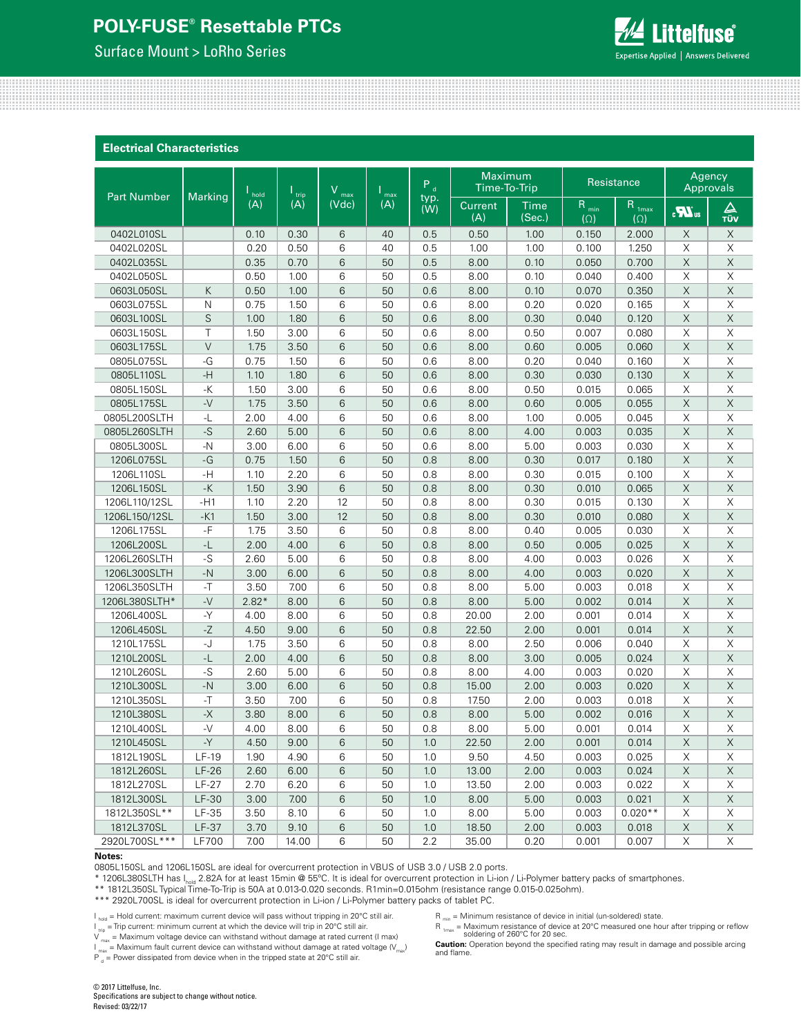### Surface Mount > LoRho Series

**Littelfuse**® **Expertise Applied | Answers Delivered** 

#### **Electrical Characteristics**

|                    |                                  | ٧<br>$\frac{1}{2}$ hold<br>$\mathsf{I}_{\mathsf{trip}}$<br>max |       | $\mathsf{max}$ | $P_d$ |             | Maximum<br>Time-To-Trip |                | Resistance              | Agency<br>Approvals             |                 |                             |
|--------------------|----------------------------------|----------------------------------------------------------------|-------|----------------|-------|-------------|-------------------------|----------------|-------------------------|---------------------------------|-----------------|-----------------------------|
| <b>Part Number</b> | Marking                          | (A)                                                            | (A)   | (Vdc)          | (A)   | typ.<br>(W) | Current<br>(A)          | Time<br>(Sec.) | $R_{min}$<br>$(\Omega)$ | R <sub>1max</sub><br>$(\Omega)$ | $\sum_{\alpha}$ | $\frac{\Delta}{\text{rův}}$ |
| 0402L010SL         |                                  | 0.10                                                           | 0.30  | 6              | 40    | 0.5         | 0.50                    | 1.00           | 0.150                   | 2.000                           | X               | X                           |
| 0402L020SL         |                                  | 0.20                                                           | 0.50  | 6              | 40    | 0.5         | 1.00                    | 1.00           | 0.100                   | 1.250                           | X               | $\mathsf X$                 |
| 0402L035SL         |                                  | 0.35                                                           | 0.70  | 6              | 50    | 0.5         | 8.00                    | 0.10           | 0.050                   | 0.700                           | $\mathsf X$     | $\mathsf X$                 |
| 0402L050SL         |                                  | 0.50                                                           | 1.00  | 6              | 50    | 0.5         | 8.00                    | 0.10           | 0.040                   | 0.400                           | X               | $\mathsf X$                 |
| 0603L050SL         | К                                | 0.50                                                           | 1.00  | 6              | 50    | 0.6         | 8.00                    | 0.10           | 0.070                   | 0.350                           | $\mathsf X$     | $\mathsf X$                 |
| 0603L075SL         | $\mathsf{N}$                     | 0.75                                                           | 1.50  | 6              | 50    | 0.6         | 8.00                    | 0.20           | 0.020                   | 0.165                           | X               | Χ                           |
| 0603L100SL         | $\mathsf S$                      | 1.00                                                           | 1.80  | 6              | 50    | 0.6         | 8.00                    | 0.30           | 0.040                   | 0.120                           | X               | $\times$                    |
| 0603L150SL         | $\top$                           | 1.50                                                           | 3.00  | 6              | 50    | 0.6         | 8.00                    | 0.50           | 0.007                   | 0.080                           | $\mathsf X$     | $\mathsf X$                 |
| 0603L175SL         | $\vee$                           | 1.75                                                           | 3.50  | 6              | 50    | 0.6         | 8.00                    | 0.60           | 0.005                   | 0.060                           | $\mathsf X$     | X                           |
| 0805L075SL         | -G                               | 0.75                                                           | 1.50  | 6              | 50    | 0.6         | 8.00                    | 0.20           | 0.040                   | 0.160                           | Χ               | Χ                           |
| 0805L110SL         | $-H$                             | 1.10                                                           | 1.80  | 6              | 50    | 0.6         | 8.00                    | 0.30           | 0.030                   | 0.130                           | $\mathsf X$     | $\mathsf X$                 |
| 0805L150SL         | $-K$                             | 1.50                                                           | 3.00  | 6              | 50    | 0.6         | 8.00                    | 0.50           | 0.015                   | 0.065                           | X               | X                           |
| 0805L175SL         | $-V$                             | 1.75                                                           | 3.50  | 6              | 50    | 0.6         | 8.00                    | 0.60           | 0.005                   | 0.055                           | $\mathsf X$     | $\mathsf X$                 |
| 0805L200SLTH       | $\mathord{\text{-}^{\mathbb L}}$ | 2.00                                                           | 4.00  | 6              | 50    | 0.6         | 8.00                    | 1.00           | 0.005                   | 0.045                           | X               | $\mathsf X$                 |
| 0805L260SLTH       | $-S$                             | 2.60                                                           | 5.00  | 6              | 50    | 0.6         | 8.00                    | 4.00           | 0.003                   | 0.035                           | X               | $\mathsf X$                 |
| 0805L300SL         | $-N$                             | 3.00                                                           | 6.00  | 6              | 50    | 0.6         | 8.00                    | 5.00           | 0.003                   | 0.030                           | X               | Χ                           |
| 1206L075SL         | $-G$                             | 0.75                                                           | 1.50  | 6              | 50    | 0.8         | 8.00                    | 0.30           | 0.017                   | 0.180                           | X               | $\mathsf X$                 |
| 1206L110SL         | -H                               | 1.10                                                           | 2.20  | 6              | 50    | 0.8         | 8.00                    | 0.30           | 0.015                   | 0.100                           | $\mathsf X$     | $\mathsf X$                 |
| 1206L150SL         | -K                               | 1.50                                                           | 3.90  | 6              | 50    | 0.8         | 8.00                    | 0.30           | 0.010                   | 0.065                           | $\mathsf X$     | $\mathsf X$                 |
| 1206L110/12SL      | $-H1$                            | 1.10                                                           | 2.20  | 12             | 50    | 0.8         | 8.00                    | 0.30           | 0.015                   | 0.130                           | Χ               | Χ                           |
| 1206L150/12SL      | $-K1$                            | 1.50                                                           | 3.00  | 12             | 50    | 0.8         | 8.00                    | 0.30           | 0.010                   | 0.080                           | $\mathsf X$     | $\mathsf X$                 |
| 1206L175SL         | $-F$                             | 1.75                                                           | 3.50  | 6              | 50    | 0.8         | 8.00                    | 0.40           | 0.005                   | 0.030                           | X               | X                           |
| 1206L200SL         | $-L$                             | 2.00                                                           | 4.00  | 6              | 50    | 0.8         | 8.00                    | 0.50           | 0.005                   | 0.025                           | $\mathsf X$     | $\mathsf X$                 |
| 1206L260SLTH       | $-S$                             | 2.60                                                           | 5.00  | 6              | 50    | 0.8         | 8.00                    | 4.00           | 0.003                   | 0.026                           | X               | $\mathsf X$                 |
| 1206L300SLTH       | $-N$                             | 3.00                                                           | 6.00  | 6              | 50    | 0.8         | 8.00                    | 4.00           | 0.003                   | 0.020                           | X               | $\mathsf X$                 |
| 1206L350SLTH       | $-$ T                            | 3.50                                                           | 7.00  | 6              | 50    | 0.8         | 8.00                    | 5.00           | 0.003                   | 0.018                           | X               | Χ                           |
| 1206L380SLTH*      | $-V$                             | $2.82*$                                                        | 8.00  | 6              | 50    | 0.8         | 8.00                    | 5.00           | 0.002                   | 0.014                           | X               | X                           |
| 1206L400SL         | -Y                               | 4.00                                                           | 8.00  | 6              | 50    | 0.8         | 20.00                   | 2.00           | 0.001                   | 0.014                           | $\mathsf X$     | $\mathsf X$                 |
| 1206L450SL         | $-Z$                             | 4.50                                                           | 9.00  | 6              | 50    | 0.8         | 22.50                   | 2.00           | 0.001                   | 0.014                           | $\mathsf X$     | $\mathsf X$                 |
| 1210L175SL         | -J                               | 1.75                                                           | 3.50  | 6              | 50    | 0.8         | 8.00                    | 2.50           | 0.006                   | 0.040                           | Χ               | Χ                           |
| 1210L200SL         | $\mathsf{L}$                     | 2.00                                                           | 4.00  | 6              | 50    | 0.8         | 8.00                    | 3.00           | 0.005                   | 0.024                           | $\mathsf X$     | $\mathsf X$                 |
| 1210L260SL         | $-S$                             | 2.60                                                           | 5.00  | 6              | 50    | 0.8         | 8.00                    | 4.00           | 0.003                   | 0.020                           | X               | X                           |
| 1210L300SL         | $-N$                             | 3.00                                                           | 6.00  | 6              | 50    | 0.8         | 15.00                   | 2.00           | 0.003                   | 0.020                           | $\mathsf X$     | $\mathsf X$                 |
| 1210L350SL         | $-$ T                            | 3.50                                                           | 7.00  | 6              | 50    | 0.8         | 17.50                   | 2.00           | 0.003                   | 0.018                           | $\mathsf X$     | $\mathsf X$                 |
| 1210L380SL         | $-X$                             | 3.80                                                           | 8.00  | 6              | 50    | 0.8         | 8.00                    | 5.00           | 0.002                   | 0.016                           | X               | $\mathsf X$                 |
| 1210L400SL         | $-V$                             | 4.00                                                           | 8.00  | 6              | 50    | 0.8         | 8.00                    | 5.00           | 0.001                   | 0.014                           | X               | Χ                           |
| 1210L450SL         | $-Y$                             | 4.50                                                           | 9.00  | 6              | 50    | 1.0         | 22.50                   | 2.00           | 0.001                   | 0.014                           | $\mathsf X$     | $\mathsf X$                 |
| 1812L190SL         | $LF-19$                          | 1.90                                                           | 4.90  | 6              | 50    | 1.0         | 9.50                    | 4.50           | 0.003                   | 0.025                           | X               | X                           |
| 1812L260SL         | $LF-26$                          | 2.60                                                           | 6.00  | 6              | 50    | 1.0         | 13.00                   | 2.00           | 0.003                   | 0.024                           | X               | X                           |
| 1812L270SL         | <b>LF-27</b>                     | 2.70                                                           | 6.20  | 6              | 50    | 1.0         | 13.50                   | 2.00           | 0.003                   | 0.022                           | X               | X                           |
| 1812L300SL         | $LF-30$                          | 3.00                                                           | 7.00  | 6              | 50    | 1.0         | 8.00                    | 5.00           | 0.003                   | 0.021                           | X               | X                           |
| 1812L350SL**       | $LF-35$                          | 3.50                                                           | 8.10  | 6              | 50    | 1.0         | 8.00                    | 5.00           | 0.003                   | $0.020**$                       | X               | X                           |
| 1812L370SL         | $LF-37$                          | 3.70                                                           | 9.10  | 6              | 50    | 1.0         | 18.50                   | 2.00           | 0.003                   | 0.018                           | $\mathsf X$     | $\mathsf X$                 |
| 2920L700SL ***     | <b>LF700</b>                     | 7.00                                                           | 14.00 | 6              | 50    | $2.2\,$     | 35.00                   | 0.20           | 0.001                   | 0.007                           | $\mathsf X$     | $\mathsf X$                 |

#### **Notes:**

0805L150SL and 1206L150SL are ideal for overcurrent protection in VBUS of USB 3.0 / USB 2.0 ports.

\* 1206L380SLTH has I<sub>hold</sub> 2.82A for at least 15min @ 55°C. It is ideal for overcurrent protection in Li-ion / Li-Polymer battery packs of smartphones.

\*\* 1812L350SL Typical Time-To-Trip is 50A at 0.013-0.020 seconds. R1min=0.015ohm (resistance range 0.015-0.025ohm).

\*\*\* 2920L700SL is ideal for overcurrent protection in Li-ion / Li-Polymer battery packs of tablet PC.

I hold = Hold current: maximum current device will pass without tripping in 20°C still air.

 $I_{\text{trip}}$  = Trip current: minimum current at which the device will trip in 20°C still air.

 $V_{\text{max}}$  = Maximum voltage device can withstand without damage at rated current (I max)

I  $_{\sf max}$  = Maximum fault current device can withstand without damage at rated voltage (V $_{\sf max}$ )

 $P_{d}$  = Power dissipated from device when in the tripped state at 20°C still air.

 $R_{min}$  = Minimum resistance of device in initial (un-soldered) state.

 $R_{\text{1max}} = M$ aximum resistance of device at 20°C measured one hour after tripping or reflow soldering of 260°C for 20 sec.

**Caution:** Operation beyond the specified rating may result in damage and possible arcing and flame.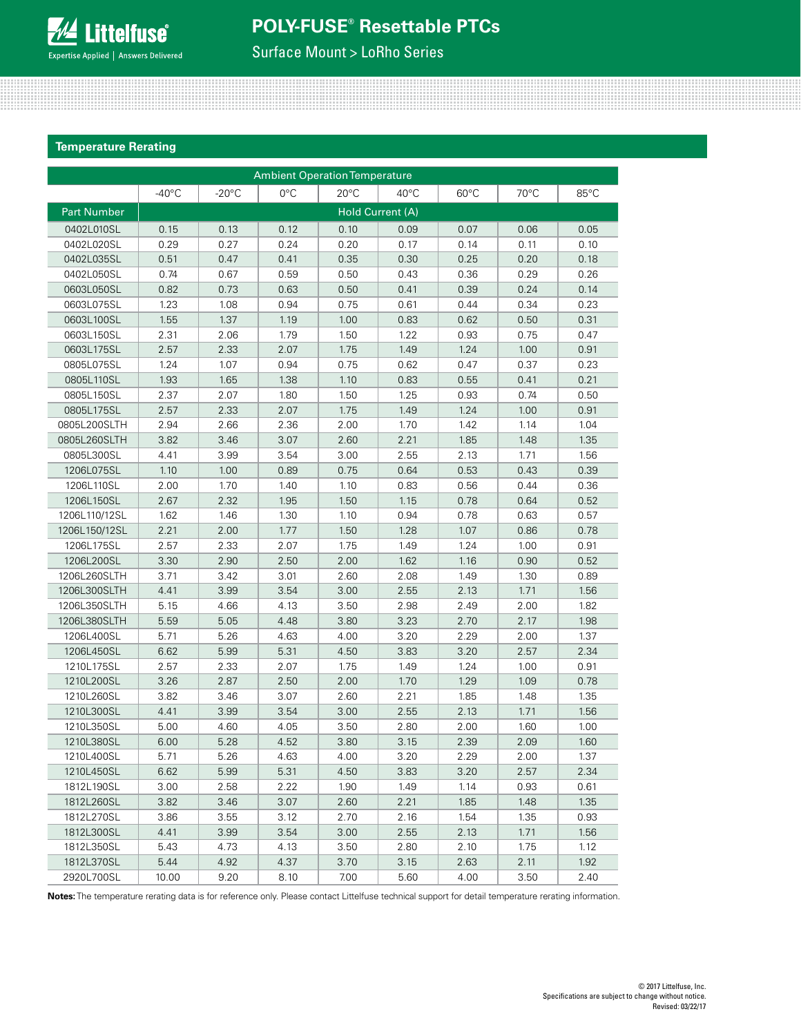

Surface Mount > LoRho Series

### **Temperature Rerating**

| <b>Ambient Operation Temperature</b> |                 |                 |               |                |                  |                |      |      |  |  |  |  |
|--------------------------------------|-----------------|-----------------|---------------|----------------|------------------|----------------|------|------|--|--|--|--|
|                                      | $-40^{\circ}$ C | $-20^{\circ}$ C | $0^{\circ}$ C | $20^{\circ}$ C | $40^{\circ}$ C   | $60^{\circ}$ C | 70°C | 85°C |  |  |  |  |
| <b>Part Number</b>                   |                 |                 |               |                | Hold Current (A) |                |      |      |  |  |  |  |
| 0402L010SL                           | 0.15            | 0.13            | 0.12          | 0.10           | 0.09             | 0.07           | 0.06 | 0.05 |  |  |  |  |
| 0402L020SL                           | 0.29            | 0.27            | 0.24          | 0.20           | 0.17             | 0.14           | 0.11 | 0.10 |  |  |  |  |
| 0402L035SL                           | 0.51            | 0.47            | 0.41          | 0.35           | 0.30             | 0.25           | 0.20 | 0.18 |  |  |  |  |
| 0402L050SL                           | 0.74            | 0.67            | 0.59          | 0.50           | 0.43             | 0.36           | 0.29 | 0.26 |  |  |  |  |
| 0603L050SL                           | 0.82            | 0.73            | 0.63          | 0.50           | 0.41             | 0.39           | 0.24 | 0.14 |  |  |  |  |
| 0603L075SL                           | 1.23            | 1.08            | 0.94          | 0.75           | 0.61             | 0.44           | 0.34 | 0.23 |  |  |  |  |
| 0603L100SL                           | 1.55            | 1.37            | 1.19          | 1.00           | 0.83             | 0.62           | 0.50 | 0.31 |  |  |  |  |
| 0603L150SL                           | 2.31            | 2.06            | 1.79          | 1.50           | 1.22             | 0.93           | 0.75 | 0.47 |  |  |  |  |
| 0603L175SL                           | 2.57            | 2.33            | 2.07          | 1.75           | 1.49             | 1.24           | 1.00 | 0.91 |  |  |  |  |
| 0805L075SL                           | 1.24            | 1.07            | 0.94          | 0.75           | 0.62             | 0.47           | 0.37 | 0.23 |  |  |  |  |
| 0805L110SL                           | 1.93            | 1.65            | 1.38          | 1.10           | 0.83             | 0.55           | 0.41 | 0.21 |  |  |  |  |
| 0805L150SL                           | 2.37            | 2.07            | 1.80          | 1.50           | 1.25             | 0.93           | 0.74 | 0.50 |  |  |  |  |
| 0805L175SL                           | 2.57            | 2.33            | 2.07          | 1.75           | 1.49             | 1.24           | 1.00 | 0.91 |  |  |  |  |
| 0805L200SLTH                         | 2.94            | 2.66            | 2.36          | 2.00           | 1.70             | 1.42           | 1.14 | 1.04 |  |  |  |  |
| 0805L260SLTH                         | 3.82            | 3.46            | 3.07          | 2.60           | 2.21             | 1.85           | 1.48 | 1.35 |  |  |  |  |
| 0805L300SL                           | 4.41            | 3.99            | 3.54          | 3.00           | 2.55             | 2.13           | 1.71 | 1.56 |  |  |  |  |
| 1206L075SL                           | 1.10            | 1.00            | 0.89          | 0.75           | 0.64             | 0.53           | 0.43 | 0.39 |  |  |  |  |
| 1206L110SL                           | 2.00            | 1.70            | 1.40          | 1.10           | 0.83             | 0.56           | 0.44 | 0.36 |  |  |  |  |
| 1206L150SL                           | 2.67            | 2.32            | 1.95          | 1.50           | 1.15             | 0.78           | 0.64 | 0.52 |  |  |  |  |
| 1206L110/12SL                        | 1.62            | 1.46            | 1.30          | 1.10           | 0.94             | 0.78           | 0.63 | 0.57 |  |  |  |  |
| 1206L150/12SL                        | 2.21            | 2.00            | 1.77          | 1.50           | 1.28             | 1.07           | 0.86 | 0.78 |  |  |  |  |
| 1206L175SL                           | 2.57            | 2.33            | 2.07          | 1.75           | 1.49             | 1.24           | 1.00 | 0.91 |  |  |  |  |
| 1206L200SL                           | 3.30            | 2.90            | 2.50          | 2.00           | 1.62             | 1.16           | 0.90 | 0.52 |  |  |  |  |
| 1206L260SLTH                         | 3.71            | 3.42            | 3.01          | 2.60           | 2.08             | 1.49           | 1.30 | 0.89 |  |  |  |  |
| 1206L300SLTH                         | 4.41            | 3.99            | 3.54          | 3.00           | 2.55             | 2.13           | 1.71 | 1.56 |  |  |  |  |
| 1206L350SLTH                         | 5.15            | 4.66            | 4.13          | 3.50           | 2.98             | 2.49           | 2.00 | 1.82 |  |  |  |  |
| 1206L380SLTH                         | 5.59            | 5.05            | 4.48          | 3.80           | 3.23             | 2.70           | 2.17 | 1.98 |  |  |  |  |
| 1206L400SL                           | 5.71            | 5.26            | 4.63          | 4.00           | 3.20             | 2.29           | 2.00 | 1.37 |  |  |  |  |
| 1206L450SL                           | 6.62            | 5.99            | 5.31          | 4.50           | 3.83             | 3.20           | 2.57 | 2.34 |  |  |  |  |
| 1210L175SL                           | 2.57            | 2.33            | 2.07          | 1.75           | 1.49             | 1.24           | 1.00 | 0.91 |  |  |  |  |
| 1210L200SL                           | 3.26            | 2.87            | 2.50          | 2.00           | 1.70             | 1.29           | 1.09 | 0.78 |  |  |  |  |
| 1210L260SL                           | 3.82            | 3.46            | 3.07          | 2.60           | 2.21             | 1.85           | 1.48 | 1.35 |  |  |  |  |
| 1210L300SL                           | 4.41            | 3.99            | 3.54          | 3.00           | 2.55             | 2.13           | 1.71 | 1.56 |  |  |  |  |
| 1210L350SL                           | 5.00            | 4.60            | 4.05          | 3.50           | 2.80             | 2.00           | 1.60 | 1.00 |  |  |  |  |
| 1210L380SL                           | 6.00            | 5.28            | 4.52          | 3.80           | 3.15             | 2.39           | 2.09 | 1.60 |  |  |  |  |
| 1210L400SL                           | 5.71            | 5.26            | 4.63          | 4.00           | 3.20             | 2.29           | 2.00 | 1.37 |  |  |  |  |
| 1210L450SL                           | 6.62            | 5.99            | 5.31          | 4.50           | 3.83             | 3.20           | 2.57 | 2.34 |  |  |  |  |
| 1812L190SL                           | 3.00            | 2.58            | 2.22          | 1.90           | 1.49             | 1.14           | 0.93 | 0.61 |  |  |  |  |
| 1812L260SL                           | 3.82            | 3.46            | 3.07          | 2.60           | 2.21             | 1.85           | 1.48 | 1.35 |  |  |  |  |
| 1812L270SL                           | 3.86            | 3.55            | 3.12          | 2.70           | 2.16             | 1.54           | 1.35 | 0.93 |  |  |  |  |
| 1812L300SL                           | 4.41            | 3.99            | 3.54          | 3.00           | 2.55             | 2.13           | 1.71 | 1.56 |  |  |  |  |
| 1812L350SL                           | 5.43            | 4.73            | 4.13          | 3.50           | 2.80             | 2.10           | 1.75 | 1.12 |  |  |  |  |
| 1812L370SL                           | 5.44            | 4.92            | 4.37          | 3.70           | 3.15             | 2.63           | 2.11 | 1.92 |  |  |  |  |
| 2920L700SL                           | 10.00           | 9.20            | 8.10          | 7.00           | 5.60             | 4.00           | 3.50 | 2.40 |  |  |  |  |

**Notes:** The temperature rerating data is for reference only. Please contact Littelfuse technical support for detail temperature rerating information.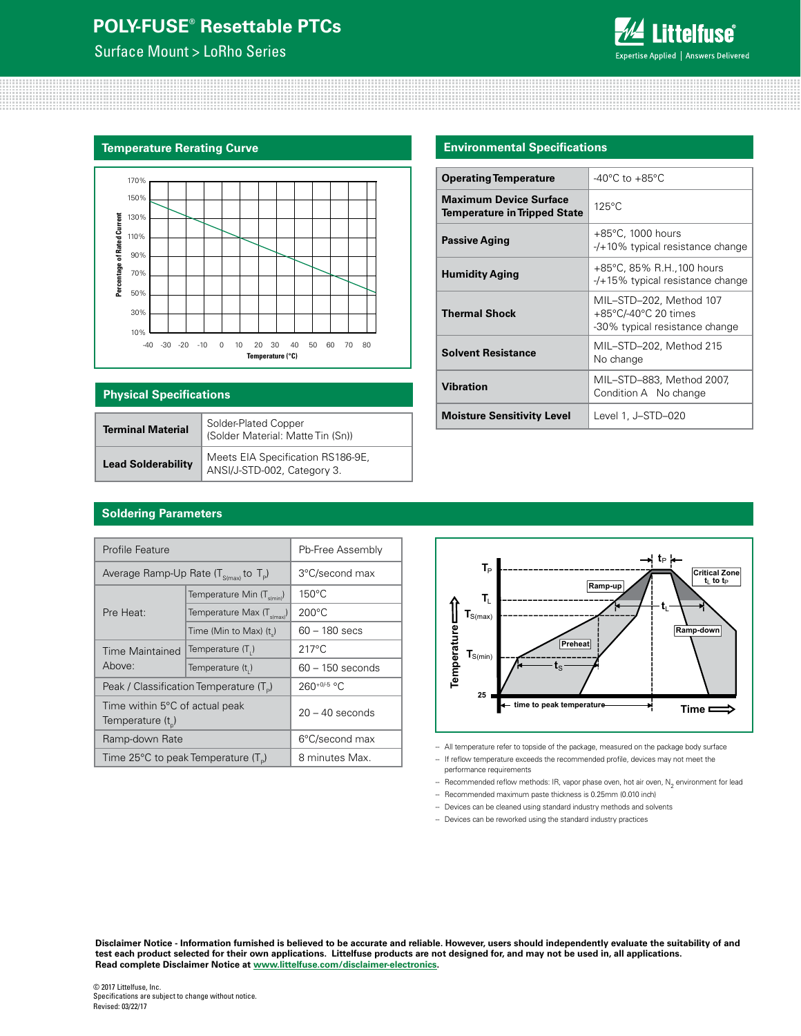Surface Mount > LoRho Series



#### **Temperature Rerating Curve**



| <b>Physical Specifications</b> |                                                                  |  |  |  |  |  |  |  |
|--------------------------------|------------------------------------------------------------------|--|--|--|--|--|--|--|
| <b>Terminal Material</b>       | Solder-Plated Copper<br>(Solder Material: Matte Tin (Sn))        |  |  |  |  |  |  |  |
| <b>Lead Solderability</b>      | Meets EIA Specification RS186-9E,<br>ANSI/J-STD-002, Category 3. |  |  |  |  |  |  |  |

### **Environmental Specifications**

| <b>Operating Temperature</b>                                         | $-40^{\circ}$ C to $+85^{\circ}$ C                                                |
|----------------------------------------------------------------------|-----------------------------------------------------------------------------------|
| <b>Maximum Device Surface</b><br><b>Temperature in Tripped State</b> | $125^{\circ}$ C                                                                   |
| <b>Passive Aging</b>                                                 | $+85^{\circ}$ C, 1000 hours<br>$-$ /+10% typical resistance change                |
| <b>Humidity Aging</b>                                                | +85°C, 85% R.H., 100 hours<br>$-$ /+15% typical resistance change                 |
| <b>Thermal Shock</b>                                                 | MIL-STD-202, Method 107<br>+85°C/-40°C 20 times<br>-30% typical resistance change |
| <b>Solvent Resistance</b>                                            | MIL-STD-202, Method 215<br>No change                                              |
| <b>Vibration</b>                                                     | MIL-STD-883, Method 2007,<br>Condition A No change                                |
| <b>Moisture Sensitivity Level</b>                                    | Level 1, J-STD-020                                                                |

## **Soldering Parameters**

| <b>Profile Feature</b>                                | Pb-Free Assembly                                |                    |  |  |  |
|-------------------------------------------------------|-------------------------------------------------|--------------------|--|--|--|
| Average Ramp-Up Rate $(T_{\text{S(mav)}})$ to $T_p$ ) | 3°C/second max                                  |                    |  |  |  |
|                                                       | Temperature Min (T <sub>s(min)</sub> )          | $150^{\circ}$ C    |  |  |  |
| Pre Heat:                                             | Temperature Max $(T_{\text{simax}})$            | $200^{\circ}$ C    |  |  |  |
|                                                       | Time (Min to Max) $(ts)$                        | $60 - 180$ secs    |  |  |  |
| <b>Time Maintained</b>                                | Temperature (T.)                                | $217^{\circ}$ C    |  |  |  |
| Above:                                                | Temperature (t,)                                | $60 - 150$ seconds |  |  |  |
|                                                       | Peak / Classification Temperature $(T_{\rm e})$ | 260+0/-5 °C.       |  |  |  |
| Time within 5°C of actual peak<br>Temperature $(t_n)$ | $20 - 40$ seconds                               |                    |  |  |  |
| Ramp-down Rate                                        |                                                 | 6°C/second max     |  |  |  |
| Time 25°C to peak Temperature (T <sub>a</sub> )       |                                                 | 8 minutes Max.     |  |  |  |



- All temperature refer to topside of the package, measured on the package body surface

- If reflow temperature exceeds the recommended profile, devices may not meet the performance requirements
- $\,$  Recommended reflow methods: IR, vapor phase oven, hot air oven,  $\mathrm{N}_2$  environment for lead
- Recommended maximum paste thickness is 0.25mm (0.010 inch)
- Devices can be cleaned using standard industry methods and solvents
- Devices can be reworked using the standard industry practices

**Disclaimer Notice - Information furnished is believed to be accurate and reliable. However, users should independently evaluate the suitability of and test each product selected for their own applications. Littelfuse products are not designed for, and may not be used in, all applications. Read complete Disclaimer Notice at [www.littelfuse.com/disclaimer-electronics](http://www.littelfuse.com/disclaimer-electronics).**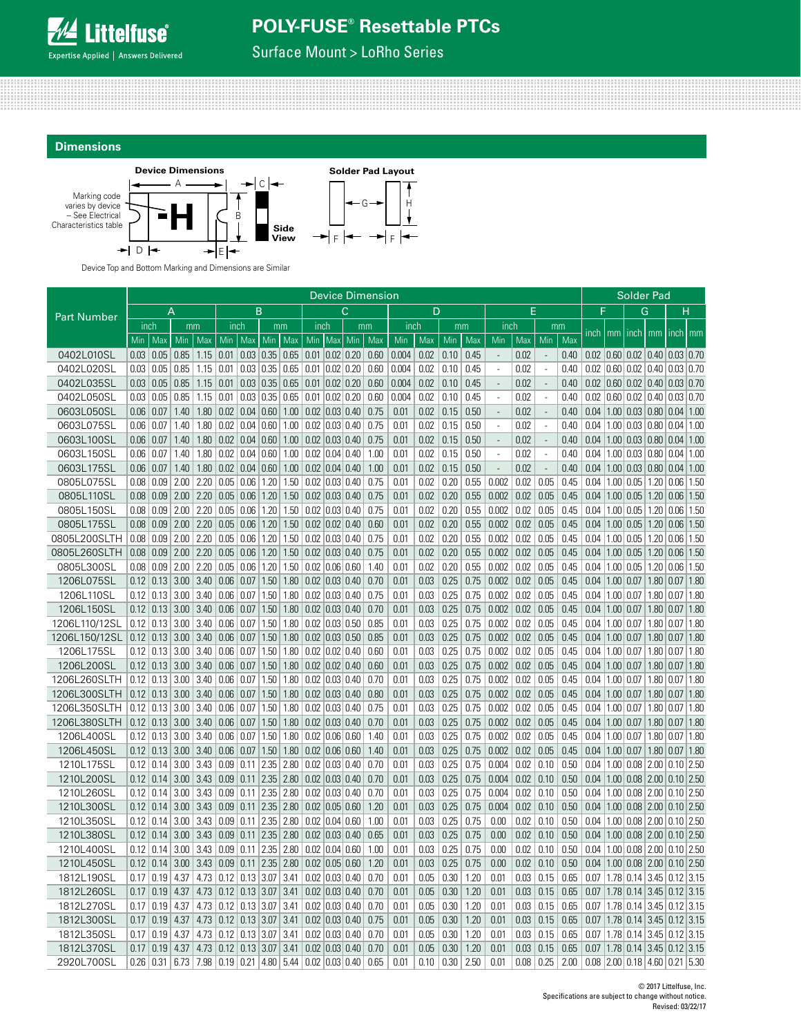

Surface Mount > LoRho Series





Device Top and Bottom Marking and Dimensions are Similar

|                    | <b>Device Dimension</b> |                            |             |      |                            |                            |      |      |                      |           | Solder Pad                               |      |       |      |      |      |                          |      |                          |      |               |                      |                                           |                            |              |      |
|--------------------|-------------------------|----------------------------|-------------|------|----------------------------|----------------------------|------|------|----------------------|-----------|------------------------------------------|------|-------|------|------|------|--------------------------|------|--------------------------|------|---------------|----------------------|-------------------------------------------|----------------------------|--------------|------|
|                    | B<br>A<br>D<br>С        |                            |             |      |                            |                            |      | E    |                      |           | F                                        |      | G     |      | н    |      |                          |      |                          |      |               |                      |                                           |                            |              |      |
| <b>Part Number</b> | inch                    |                            | mm          |      | inch                       |                            |      | mm   | inch                 |           |                                          | mm   | inch  |      | mm   |      | inch                     |      | mm                       |      |               |                      |                                           |                            |              |      |
|                    | Min                     | Max                        | Min         | Max  | Min                        | Max                        | Min  | Max  |                      | Min   Max | Min                                      | Max  | Min   | Max  | Min  | Max  | Min                      | Max  | Min                      | Max  | inch          |                      | mm inch                                   | mm                         | inch   mm    |      |
| 0402L010SL         | 0.03   0.05             |                            | 0.85        | 1.15 |                            | $0.01 \mid 0.03 \mid 0.35$ |      | 0.65 | $0.01$ $0.02$ $0.20$ |           |                                          | 0.60 | 0.004 | 0.02 | 0.10 | 0.45 | $\overline{a}$           | 0.02 | $\overline{\phantom{a}}$ | 0.40 |               |                      | $0.02$ $0.60$ $0.02$ $0.40$ $0.03$ $0.70$ |                            |              |      |
| 0402L020SL         | 0.03                    | $\vert 0.05 \vert$         | 0.85        | 1.15 | 0.01                       | 0.03   0.35                |      | 0.65 | $\vert 0.01 \vert$   |           | 0.02   0.20                              | 0.60 | 0.004 | 0.02 | 0.10 | 0.45 | $\overline{a}$           | 0.02 | $\overline{\phantom{a}}$ | 0.40 |               |                      | $0.02$   0.60   0.02   0.40   0.03   0.70 |                            |              |      |
| 0402L035SL         |                         | 0.03   0.05                | 0.85        | 1.15 | 0.01                       | 0.03   0.35                |      | 0.65 | $0.01$ $0.02$ $0.20$ |           |                                          | 0.60 | 0.004 | 0.02 | 0.10 | 0.45 | $\overline{a}$           | 0.02 | $\overline{\phantom{a}}$ | 0.40 |               |                      | $0.02$ $0.60$ $0.02$ $0.40$ $0.03$ $0.70$ |                            |              |      |
| 0402L050SL         |                         | 0.03   0.05                | 0.85        | 1.15 | 0.01                       | 0.03   0.35                |      | 0.65 |                      |           | $0.01$ $0.02$ $0.20$                     | 0.60 | 0.004 | 0.02 | 0.10 | 0.45 | $\overline{a}$           | 0.02 | $\overline{\phantom{a}}$ | 0.40 |               |                      | $0.02$   0.60   0.02   0.40   0.03   0.70 |                            |              |      |
| 0603L050SL         | 0.06                    | 0.07                       | 1.40        | 1.80 | 0.02                       | 0.04   0.60                |      | 1.00 | $0.02$ $0.03$ $0.40$ |           |                                          | 0.75 | 0.01  | 0.02 | 0.15 | 0.50 | ÷,                       | 0.02 | $\overline{a}$           | 0.40 |               |                      | $0.04$   1.00   0.03   0.80   0.04   1.00 |                            |              |      |
| 0603L075SL         | $0.06 \mid 0.07$        |                            | 1.40        | 1.80 | 0.02                       | 0.04   0.60                |      | 1.00 | $0.02$ $0.03$ $0.40$ |           |                                          | 0.75 | 0.01  | 0.02 | 0.15 | 0.50 | $\overline{\phantom{a}}$ | 0.02 | $\overline{\phantom{a}}$ | 0.40 |               |                      | $0.04$   1.00   0.03   0.80   0.04        |                            |              | 1.00 |
| 0603L100SL         | $0.06 \mid 0.07$        |                            | 1.40        | 1.80 |                            | $0.02 \mid 0.04 \mid 0.60$ |      | 1.00 |                      |           | 0.02 0.03 0.40                           | 0.75 | 0.01  | 0.02 | 0.15 | 0.50 | $\overline{\phantom{a}}$ | 0.02 | $\overline{\phantom{a}}$ | 0.40 |               |                      | $0.04$   1.00   0.03   0.80   0.04   1.00 |                            |              |      |
| 0603L150SL         | 0.06   0.07             |                            | 1.40        | 1.80 | 0.02                       | 0.04 0.60 1.00             |      |      |                      |           | $0.02$ $0.04$ $0.40$                     | 1.00 | 0.01  | 0.02 | 0.15 | 0.50 | ÷,                       | 0.02 | $\overline{\phantom{a}}$ | 0.40 |               |                      | $0.04$   1.00   0.03   0.80   0.04   1.00 |                            |              |      |
| 0603L175SL         | $0.06 \mid 0.07$        |                            | 1.40        | 1.80 | $\vert 0.02 \vert$         | 0.04 0.60 1.00             |      |      |                      |           | $0.02$ $0.04$ $0.40$                     | 1.00 | 0.01  | 0.02 | 0.15 | 0.50 | $\overline{\phantom{a}}$ | 0.02 | $\overline{\phantom{a}}$ | 0.40 |               |                      | $0.04$   1.00   0.03   0.80   0.04   1.00 |                            |              |      |
| 0805L075SL         | 0.08                    | 0.09                       | 2.00        | 2.20 | 0.05                       | 0.06                       | 1.20 | 1.50 |                      |           | $0.02$ $0.03$ $0.40$                     | 0.75 | 0.01  | 0.02 | 0.20 | 0.55 | 0.002                    | 0.02 | 0.05                     | 0.45 |               |                      | $0.04$   1.00   0.05   1.20   0.06        |                            |              | 1.50 |
| 0805L110SL         |                         | $0.08$ 0.09 2.00           |             | 2.20 | 0.05                       | 0.06                       | 1.20 | 1.50 | $0.02$ $0.03$ 0.40   |           |                                          | 0.75 | 0.01  | 0.02 | 0.20 | 0.55 | 0.002                    | 0.02 | 0.05                     | 0.45 |               |                      | $0.04$   1.00   0.05   1.20   0.06        |                            |              | 1.50 |
| 0805L150SL         | 0.08                    | 0.09                       | 2.00        | 2.20 | 0.05                       | 0.06                       | 1.20 | 1.50 | 0.02                 |           | 0.03 0.40                                | 0.75 | 0.01  | 0.02 | 0.20 | 0.55 | 0.002                    | 0.02 | 0.05                     | 0.45 | 0.04          | 1.00                 | $0.05$ 1.20                               |                            | 0.06         | 1.50 |
| 0805L175SL         |                         | $0.08$ 0.09 2.00           |             | 2.20 | $\vert 0.05 \vert$         | 0.06                       | 1.20 | 1.50 | $0.02$ 0.02 0.40     |           |                                          | 0.60 | 0.01  | 0.02 | 0.20 | 0.55 | 0.002                    | 0.02 | 0.05                     | 0.45 |               |                      | $0.04$   1.00   0.05   1.20   0.06        |                            |              | 1.50 |
| 0805L200SLTH       | 0.08                    | 0.09                       | 2.00        | 2.20 | 0.05                       | 0.06                       | 1.20 | 1.50 | $0.02$ $0.03$ $0.40$ |           |                                          | 0.75 | 0.01  | 0.02 | 0.20 | 0.55 | 0.002                    | 0.02 | 0.05                     | 0.45 | $0.04$   1.00 |                      | $0.05$   1.20 $ 0.06$                     |                            |              | 1.50 |
| 0805L260SLTH       |                         | $0.08 \mid 0.09$           | $2.00$ 2.20 |      | 0.05                       | 0.06                       | 1.20 | 1.50 | $0.02$ $0.03$ $0.40$ |           |                                          | 0.75 | 0.01  | 0.02 | 0.20 | 0.55 | 0.002                    | 0.02 | 0.05                     | 0.45 |               |                      | $0.04$   1.00   0.05   1.20   0.06        |                            |              | 1.50 |
| 0805L300SL         | $0.08 \mid 0.09$        |                            | 2.00        | 2.20 | 0.05                       | 0.06                       | 1.20 | 1.50 | $0.02$ $0.06$ $0.60$ |           |                                          | 1.40 | 0.01  | 0.02 | 0.20 | 0.55 | 0.002                    | 0.02 | 0.05                     | 0.45 |               | $0.04$   1.00        | 0.05                                      | 1.20                       | 0.06         | 1.50 |
| 1206L075SL         |                         | $0.12 \mid 0.13$           | 3.00        | 3.40 | 0.06                       | 0.07                       | 1.50 | 1.80 | $0.02$ $0.03$ $0.40$ |           |                                          | 0.70 | 0.01  | 0.03 | 0.25 | 0.75 | 0.002                    | 0.02 | 0.05                     | 0.45 |               | $0.04$   1.00   0.07 |                                           | 1.80   0.07                |              | 1.80 |
| 1206L110SL         |                         | $0.12$ 0.13                | 3.00        | 3.40 | 0.06   0.07                |                            | 1.50 | 1.80 |                      |           | $\vert 0.02 \vert 0.03 \vert 0.40 \vert$ | 0.75 | 0.01  | 0.03 | 0.25 | 0.75 | 0.002                    | 0.02 | 0.05                     | 0.45 |               | $0.04$   1.00   0.07 |                                           | 1.80   0.07                |              | 1.80 |
| 1206L150SL         |                         | $0.12$ 0.13 3.00           |             |      | $3.40$ 0.06 0.07 1.50 1.80 |                            |      |      |                      |           | $0.02$ $0.03$ $0.40$                     | 0.70 | 0.01  | 0.03 | 0.25 | 0.75 | 0.002                    | 0.02 | 0.05                     | 0.45 |               | $0.04$   1.00   0.07 |                                           | 1.80 0.07                  |              | 1.80 |
| 1206L110/12SL      |                         | $0.12 \mid 0.13 \mid 3.00$ |             | 3.40 | 0.06 0.07                  |                            | 1.50 | 1.80 | $0.02$ $0.03$ $0.50$ |           |                                          | 0.85 | 0.01  | 0.03 | 0.25 | 0.75 | 0.002                    | 0.02 | 0.05                     | 0.45 |               | $0.04$   1.00   0.07 |                                           | 1.80 0.07                  |              | 1.80 |
| 1206L150/12SL      |                         | $0.12 \mid 0.13 \mid 3.00$ |             | 3.40 | 0.06   0.07                |                            | 1.50 | 1.80 | $0.02$ $0.03$ $0.50$ |           |                                          | 0.85 | 0.01  | 0.03 | 0.25 | 0.75 | 0.002                    | 0.02 | 0.05                     | 0.45 |               | $0.04$   1.00   0.07 |                                           | 1.80   0.07                |              | 1.80 |
| 1206L175SL         | 0.12                    | 0.13                       | 3.00        | 3.40 | 0.06                       | 0.07                       | 1.50 | 1.80 | $0.02$ $0.02$ $0.40$ |           |                                          | 0.60 | 0.01  | 0.03 | 0.25 | 0.75 | 0.002                    | 0.02 | 0.05                     | 0.45 | 0.04          | 1.00   0.07          |                                           | 1.80                       | 0.07         | 1.80 |
| 1206L200SL         |                         | $0.12 \mid 0.13$           | 3.00        | 3.40 | 0.06                       | 0.07                       | 1.50 | 1.80 | $0.02$ $0.02$ $0.40$ |           |                                          | 0.60 | 0.01  | 0.03 | 0.25 | 0.75 | 0.002                    | 0.02 | 0.05                     | 0.45 |               | $0.04$   1.00   0.07 |                                           | 1.80                       | 0.07         | 1.80 |
| 1206L260SLTH       |                         | $0.12 \mid 0.13 \mid 3.00$ |             | 3.40 | 0.06 0.07 1.50             |                            |      | 1.80 | $0.02$ $0.03$ $0.40$ |           |                                          | 0.70 | 0.01  | 0.03 | 0.25 | 0.75 | 0.002                    | 0.02 | 0.05                     | 0.45 |               | $0.04$   1.00   0.07 |                                           | 1.80 0.07                  |              | 1.80 |
| 1206L300SLTH       |                         | $0.12 \mid 0.13 \mid 3.00$ |             | 3.40 | 0.06                       | $\vert 0.07 \vert$         | 1.50 | 1.80 | $0.02$ $0.03$ $0.40$ |           |                                          | 0.80 | 0.01  | 0.03 | 0.25 | 0.75 | 0.002                    | 0.02 | 0.05                     | 0.45 |               | $0.04$   1.00   0.07 |                                           | 1.80 0.07                  |              | 1.80 |
| 1206L350SLTH       | 0.12                    | 0.13                       | 3.00        | 3.40 | 0.06                       | 0.07                       | 1.50 | 1.80 | $0.02$ $0.03$ $0.40$ |           |                                          | 0.75 | 0.01  | 0.03 | 0.25 | 0.75 | 0.002                    | 0.02 | 0.05                     | 0.45 |               | $0.04$   1.00        | 0.07                                      | 1.80                       | $\vert 0.07$ | 1.80 |
| 1206L380SLTH       |                         | $0.12 \mid 0.13$           | 3.00        | 3.40 | 0.06                       | 0.07                       | 1.50 | 1.80 | $0.02$ $0.03$ $0.40$ |           |                                          | 0.70 | 0.01  | 0.03 | 0.25 | 0.75 | 0.002                    | 0.02 | 0.05                     | 0.45 |               | $0.04$   1.00   0.07 |                                           | 1.80 0.07                  |              | 1.80 |
| 1206L400SL         | 0.12                    | $\vert 0.13 \vert$         | 3.00        | 3.40 | 0.06                       | 0.07                       | 1.50 | 1.80 |                      |           | $0.02$ $ 0.06 0.60$                      | 1.40 | 0.01  | 0.03 | 0.25 | 0.75 | 0.002                    | 0.02 | 0.05                     | 0.45 |               | $0.04$   1.00   0.07 |                                           | 1.80   0.07                |              | 1.80 |
| 1206L450SL         |                         | $0.12 \mid 0.13 \mid 3.00$ |             | 3.40 | 0.06 0.07 1.50             |                            |      | 1.80 |                      |           | 0.02 0.06 0.60                           | 1.40 | 0.01  | 0.03 | 0.25 | 0.75 | 0.002                    | 0.02 | 0.05                     | 0.45 |               | $0.04$   1.00   0.07 |                                           | 1.80 0.07                  |              | 1.80 |
| 1210L175SL         |                         | $0.12$   0.14              | 3.00        | 3.43 |                            | $0.09$ 0.11 2.35           |      | 2.80 | $0.02$ $0.03$ $0.40$ |           |                                          | 0.70 | 0.01  | 0.03 | 0.25 | 0.75 | 0.004                    | 0.02 | 0.10                     | 0.50 |               |                      | $0.04$   1.00   0.08   2.00   0.10   2.50 |                            |              |      |
| 1210L200SL         |                         | $0.12 \mid 0.14 \mid 3.00$ |             | 3.43 |                            | $0.09$ 0.11 2.35           |      | 2.80 |                      |           | 0.02 0.03 0.40                           | 0.70 | 0.01  | 0.03 | 0.25 | 0.75 | 0.004                    | 0.02 | 0.10                     | 0.50 |               |                      | $0.04$   1.00   0.08   2.00   0.10   2.50 |                            |              |      |
| 1210L260SL         |                         | $0.12 \mid 0.14$           | 3.00        | 3.43 | 0.09                       | 0.11                       | 2.35 | 2.80 |                      |           | $0.02$ $0.03$ $0.40$                     | 0.70 | 0.01  | 0.03 | 0.25 | 0.75 | 0.004                    | 0.02 | 0.10                     | 0.50 |               |                      | $0.04$   1.00   0.08   2.00   0.10   2.50 |                            |              |      |
| 1210L300SL         |                         | $0.12 \mid 0.14$           | 3.00        |      | $3.43 \mid 0.09$           | 0.11 2.35                  |      | 2.80 | $0.02$ $0.05$ $0.60$ |           |                                          | 1.20 | 0.01  | 0.03 | 0.25 | 0.75 | 0.004                    | 0.02 | 0.10                     | 0.50 |               |                      | $0.04$   1.00   0.08   2.00   0.10   2.50 |                            |              |      |
| 1210L350SL         |                         | $0.12 \mid 0.14$           | 3.00        | 3.43 |                            | $0.09 \mid 0.11 \mid 2.35$ |      | 2.80 | $0.02$ $0.04$ $0.60$ |           |                                          | 1.00 | 0.01  | 0.03 | 0.25 | 0.75 | 0.00                     | 0.02 | 0.10                     | 0.50 |               |                      | $0.04$   1.00   0.08   2.00   0.10   2.50 |                            |              |      |
| 1210L380SL         |                         | $0.12 \mid 0.14$           | 3.00        | 3.43 | $\vert 0.09 \vert$         | $0.11$ 2.35                |      | 2.80 |                      |           | $0.02$ $0.03$ $0.40$                     | 0.65 | 0.01  | 0.03 | 0.25 | 0.75 | 0.00                     | 0.02 | 0.10                     | 0.50 |               |                      | $0.04$   1.00   0.08   2.00   0.10   2.50 |                            |              |      |
| 1210L400SL         |                         | $0.12 \mid 0.14$           | 3.00        | 3.43 |                            | $0.09$ 0.11 2.35           |      | 2.80 | $0.02$ $0.04$ $0.60$ |           |                                          | 1.00 | 0.01  | 0.03 | 0.25 | 0.75 | 0.00                     | 0.02 | 0.10                     | 0.50 |               |                      | $0.04$   1.00   0.08   2.00   0.10   2.50 |                            |              |      |
| 1210L450SL         |                         | $0.12 \mid 0.14$           | 3.00        | 3.43 | $\vert 0.09 \vert$         | $0.11$ 2.35                |      | 2.80 | $0.02$ $0.05$ $0.60$ |           |                                          | 1.20 | 0.01  | 0.03 | 0.25 | 0.75 | 0.00                     | 0.02 | 0.10                     | 0.50 |               |                      | $0.04$   1.00   0.08   2.00   0.10   2.50 |                            |              |      |
| 1812L190SL         | 0.17                    | 0.19                       | 4.37        | 4.73 | 0.12                       | 0.13                       | 3.07 | 3.41 |                      |           | $0.02$ $0.03$ $0.40$                     | 0.70 | 0.01  | 0.05 | 0.30 | 1.20 | 0.01                     | 0.03 | 0.15                     | 0.65 |               |                      | $0.07$   1.78   0.14                      | $3.45 \mid 0.12 \mid 3.15$ |              |      |
| 1812L260SL         |                         | $0.17 \mid 0.19$           | 4.37        |      | $4.73$ 0.12 0.13 3.07      |                            |      | 3.41 |                      |           | $0.02$ 0.03 0.40                         | 0.70 | 0.01  | 0.05 | 0.30 | 1.20 | 0.01                     | 0.03 | 0.15                     | 0.65 |               |                      | $0.07$   1.78   0.14   3.45   0.12   3.15 |                            |              |      |
| 1812L270SL         | 0.17                    | 0.19                       | 4.37        | 4.73 |                            | $0.12 \mid 0.13 \mid 3.07$ |      | 3.41 |                      |           | $0.02$ $0.03$ $0.40$                     | 0.70 | 0.01  | 0.05 | 0.30 | 1.20 | 0.01                     | 0.03 | 0.15                     | 0.65 |               |                      | $0.07$   1.78   0.14   3.45   0.12   3.15 |                            |              |      |
| 1812L300SL         | 0.17                    | 0.19                       | 4.37        |      | $4.73$ 0.12 0.13 3.07      |                            |      | 3.41 |                      |           | $0.02$ 0.03 0.40                         | 0.75 | 0.01  | 0.05 | 0.30 | 1.20 | 0.01                     | 0.03 | 0.15                     | 0.65 |               |                      | $0.07$   1.78   0.14   3.45   0.12   3.15 |                            |              |      |
| 1812L350SL         | 0.17                    | 0.19                       | 4.37        | 4.73 | 0.12                       | $0.13$ 3.07                |      | 3.41 |                      |           | $0.02$ 0.03 0.40                         | 0.70 | 0.01  | 0.05 | 0.30 | 1.20 | 0.01                     | 0.03 | 0.15                     | 0.65 | 0.07          |                      | $1.78$ 0.14 3.45                          |                            | $0.12$ 3.15  |      |
| 1812L370SL         | 0.17                    | 0.19                       | 4.37        | 4.73 | $0.12 \mid 0.13 \mid 3.07$ |                            |      | 3.41 | $0.02$ 0.03 0.40     |           |                                          | 0.70 | 0.01  | 0.05 | 0.30 | 1.20 | 0.01                     | 0.03 | 0.15                     | 0.65 | 0.07          |                      | $1.78$ 0.14 3.45 0.12 3.15                |                            |              |      |
| 2920L700SL         | 0.26                    | 0.31                       | 6.73        | 7.98 |                            | 0.19 0.21 4.80 5.44        |      |      | $0.02$ $0.03$ $0.40$ |           |                                          | 0.65 | 0.01  | 0.10 | 0.30 | 2.50 | 0.01                     | 0.08 | 0.25                     | 2.00 |               |                      | $0.08$   2.00   0.18   4.60   0.21   5.30 |                            |              |      |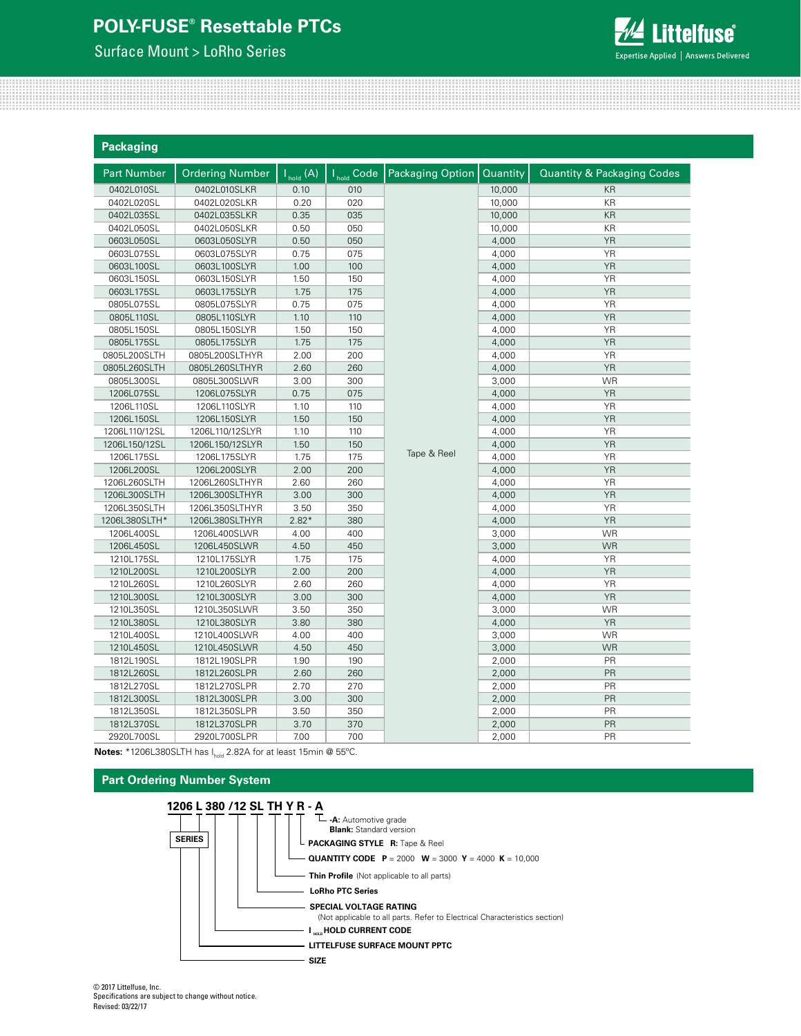Surface Mount > LoRho Series



| <b>Packaging</b>   |                        |                                                     |                        |                  |          |                                       |
|--------------------|------------------------|-----------------------------------------------------|------------------------|------------------|----------|---------------------------------------|
| <b>Part Number</b> | <b>Ordering Number</b> | $\overline{\mathsf{I}_{\mathsf{hold}}(\mathsf{A})}$ | I <sub>hold</sub> Code | Packaging Option | Quantity | <b>Quantity &amp; Packaging Codes</b> |
| 0402L010SL         | 0402L010SLKR           | 0.10                                                | 010                    |                  | 10,000   | KR                                    |
| 0402L020SL         | 0402L020SLKR           | 0.20                                                | 020                    |                  | 10,000   | KR                                    |
| 0402L035SL         | 0402L035SLKR           | 0.35                                                | 035                    |                  | 10,000   | KR                                    |
| 0402L050SL         | 0402L050SLKR           | 0.50                                                | 050                    |                  | 10,000   | KR                                    |
| 0603L050SL         | 0603L050SLYR           | 0.50                                                | 050                    |                  | 4,000    | <b>YR</b>                             |
| 0603L075SL         | 0603L075SLYR           | 0.75                                                | 075                    |                  | 4,000    | <b>YR</b>                             |
| 0603L100SL         | 0603L100SLYR           | 1.00                                                | 100                    |                  | 4,000    | <b>YR</b>                             |
| 0603L150SL         | 0603L150SLYR           | 1.50                                                | 150                    |                  | 4,000    | <b>YR</b>                             |
| 0603L175SL         | 0603L175SLYR           | 1.75                                                | 175                    |                  | 4,000    | <b>YR</b>                             |
| 0805L075SL         | 0805L075SLYR           | 0.75                                                | 075                    |                  | 4,000    | <b>YR</b>                             |
| 0805L110SL         | 0805L110SLYR           | 1.10                                                | 110                    |                  | 4,000    | <b>YR</b>                             |
| 0805L150SL         | 0805L150SLYR           | 1.50                                                | 150                    |                  | 4,000    | <b>YR</b>                             |
| 0805L175SL         | 0805L175SLYR           | 1.75                                                | 175                    |                  | 4,000    | <b>YR</b>                             |
| 0805L200SLTH       | 0805L200SLTHYR         | 2.00                                                | 200                    |                  | 4,000    | <b>YR</b>                             |
| 0805L260SLTH       | 0805L260SLTHYR         | 2.60                                                | 260                    |                  | 4,000    | <b>YR</b>                             |
| 0805L300SL         | 0805L300SLWR           | 3.00                                                | 300                    |                  | 3,000    | <b>WR</b>                             |
| 1206L075SL         | 1206L075SLYR           | 0.75                                                | 075                    |                  | 4,000    | <b>YR</b>                             |
| 1206L110SL         | 1206L110SLYR           | 1.10                                                | 110                    |                  | 4,000    | <b>YR</b>                             |
| 1206L150SL         | 1206L150SLYR           | 1.50                                                | 150                    |                  | 4,000    | <b>YR</b>                             |
| 1206L110/12SL      | 1206L110/12SLYR        | 1.10                                                | 110                    |                  | 4,000    | YR                                    |
| 1206L150/12SL      | 1206L150/12SLYR        | 1.50                                                | 150                    |                  | 4,000    | <b>YR</b>                             |
| 1206L175SL         | 1206L175SLYR           | 1.75                                                | 175                    | Tape & Reel      | 4,000    | <b>YR</b>                             |
| 1206L200SL         | 1206L200SLYR           | 2.00                                                | 200                    |                  | 4,000    | <b>YR</b>                             |
| 1206L260SLTH       | 1206L260SLTHYR         | 2.60                                                | 260                    |                  | 4,000    | <b>YR</b>                             |
| 1206L300SLTH       | 1206L300SLTHYR         | 3.00                                                | 300                    |                  | 4,000    | <b>YR</b>                             |
| 1206L350SLTH       | 1206L350SLTHYR         | 3.50                                                | 350                    |                  | 4,000    | <b>YR</b>                             |
| 1206L380SLTH*      | 1206L380SLTHYR         | $2.82*$                                             | 380                    |                  | 4,000    | YR                                    |
| 1206L400SL         | 1206L400SLWR           | 4.00                                                | 400                    |                  | 3,000    | <b>WR</b>                             |
| 1206L450SL         | 1206L450SLWR           | 4.50                                                | 450                    |                  | 3,000    | <b>WR</b>                             |
| 1210L175SL         | 1210L175SLYR           | 1.75                                                | 175                    |                  | 4,000    | YR                                    |
| 1210L200SL         | 1210L200SLYR           | 2.00                                                | 200                    |                  | 4,000    | <b>YR</b>                             |
| 1210L260SL         | 1210L260SLYR           | 2.60                                                | 260                    |                  | 4,000    | <b>YR</b>                             |
| 1210L300SL         | 1210L300SLYR           | 3.00                                                | 300                    |                  | 4,000    | YR                                    |
| 1210L350SL         | 1210L350SLWR           | 3.50                                                | 350                    |                  | 3,000    | <b>WR</b>                             |
| 1210L380SL         | 1210L380SLYR           | 3.80                                                | 380                    |                  | 4,000    | <b>YR</b>                             |
| 1210L400SL         | 1210L400SLWR           | 4.00                                                | 400                    |                  | 3,000    | <b>WR</b>                             |
| 1210L450SL         | 1210L450SLWR           | 4.50                                                | 450                    |                  | 3,000    | <b>WR</b>                             |
| 1812L190SL         | 1812L190SLPR           | 1.90                                                | 190                    |                  | 2,000    | PR                                    |
| 1812L260SL         | 1812L260SLPR           | 2.60                                                | 260                    |                  | 2,000    | PR                                    |
| 1812L270SL         | 1812L270SLPR           | 2.70                                                | 270                    |                  | 2,000    | PR                                    |
| 1812L300SL         | 1812L300SLPR           | 3.00                                                | 300                    |                  | 2,000    | PR                                    |
| 1812L350SL         | 1812L350SLPR           | 3.50                                                | 350                    |                  | 2,000    | PR                                    |
| 1812L370SL         | 1812L370SLPR           | 3.70                                                | 370                    |                  | 2,000    | PR                                    |
| 2920L700SL         | 2920L700SLPR           | 7.00                                                | 700                    |                  | 2,000    | PR                                    |

**Notes:** \*1206L380SLTH has I<sub>hold</sub> 2.82A for at least 15min @ 55°C.

### **Part Ordering Number System**